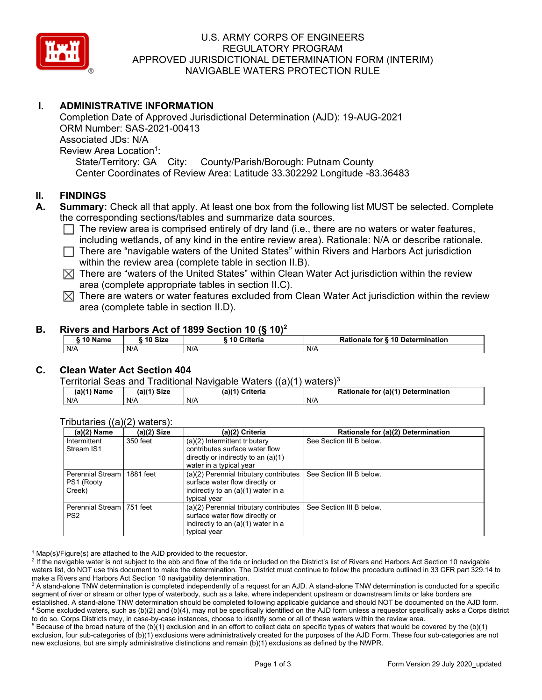

# U.S. ARMY CORPS OF ENGINEERS REGULATORY PROGRAM APPROVED JURISDICTIONAL DETERMINATION FORM (INTERIM) NAVIGABLE WATERS PROTECTION RULE

# **I. ADMINISTRATIVE INFORMATION**

Completion Date of Approved Jurisdictional Determination (AJD): 19-AUG-2021 ORM Number: SAS-2021-00413 Associated JDs: N/A Review Area Location<sup>1</sup>: State/Territory: GA City: County/Parish/Borough: Putnam County Center Coordinates of Review Area: Latitude 33.302292 Longitude -83.36483

## **II. FINDINGS**

- **A. Summary:** Check all that apply. At least one box from the following list MUST be selected. Complete the corresponding sections/tables and summarize data sources.
	- $\Box$  The review area is comprised entirely of dry land (i.e., there are no waters or water features, including wetlands, of any kind in the entire review area). Rationale: N/A or describe rationale.
	- $\Box$  There are "navigable waters of the United States" within Rivers and Harbors Act jurisdiction within the review area (complete table in section II.B).
	- $\boxtimes$  There are "waters of the United States" within Clean Water Act jurisdiction within the review area (complete appropriate tables in section II.C).
	- $\boxtimes$  There are waters or water features excluded from Clean Water Act jurisdiction within the review area (complete table in section II.D).

### **B. Rivers and Harbors Act of 1899 Section 10 (§ 10)<sup>2</sup>**

| 10 Name | 10 Size | 10 Criteria | Rationale for § 10 Determination |
|---------|---------|-------------|----------------------------------|
| N/A     | N/A     | N/A         | N/A                              |

# **C. Clean Water Act Section 404**

### Territorial Seas and Traditional Navigable Waters ((a)(1) waters)3

| (a)(1) Name | (a)(1)<br>Size | (a)(4)<br>Criteria | Rationale<br>(a)(1) Determination<br>for |
|-------------|----------------|--------------------|------------------------------------------|
| N/A         | N/A            | N/A                | N/A                                      |

### Tributaries  $((a)(2)$  waters):<br>(a)(2) Name (a)(2) Size (a)(2) Criteria **Rationale for (a)(2) Determination** Intermittent Stream IS1 350 feet  $(a)(2)$  Intermittent tr butary contributes surface water flow directly or indirectly to an (a)(1) water in a typical year See Section III B below. Perennial Stream PS1 (Rooty Creek) 1881 feet (a)(2) Perennial tributary contributes surface water flow directly or indirectly to an (a)(1) water in a typical year See Section III B below. Perennial Stream PS2 751 feet  $(a)(2)$  Perennial tributary contributes surface water flow directly or indirectly to an (a)(1) water in a typical year See Section III B below.

 $1$  Map(s)/Figure(s) are attached to the AJD provided to the requestor.

<sup>2</sup> If the navigable water is not subject to the ebb and flow of the tide or included on the District's list of Rivers and Harbors Act Section 10 navigable waters list, do NOT use this document to make the determination. The District must continue to follow the procedure outlined in 33 CFR part 329.14 to make a Rivers and Harbors Act Section 10 navigability determination.

 $^3$  A stand-alone TNW determination is completed independently of a request for an AJD. A stand-alone TNW determination is conducted for a specific segment of river or stream or other type of waterbody, such as a lake, where independent upstream or downstream limits or lake borders are established. A stand-alone TNW determination should be completed following applicable guidance and should NOT be documented on the AJD form. 4 Some excluded waters, such as (b)(2) and (b)(4), may not be specifically identified on the AJD form unless a requestor specifically asks a Corps district to do so. Corps Districts may, in case-by-case instances, choose to identify some or all of these waters within the review area.

 $^5$  Because of the broad nature of the (b)(1) exclusion and in an effort to collect data on specific types of waters that would be covered by the (b)(1) exclusion, four sub-categories of (b)(1) exclusions were administratively created for the purposes of the AJD Form. These four sub-categories are not new exclusions, but are simply administrative distinctions and remain (b)(1) exclusions as defined by the NWPR.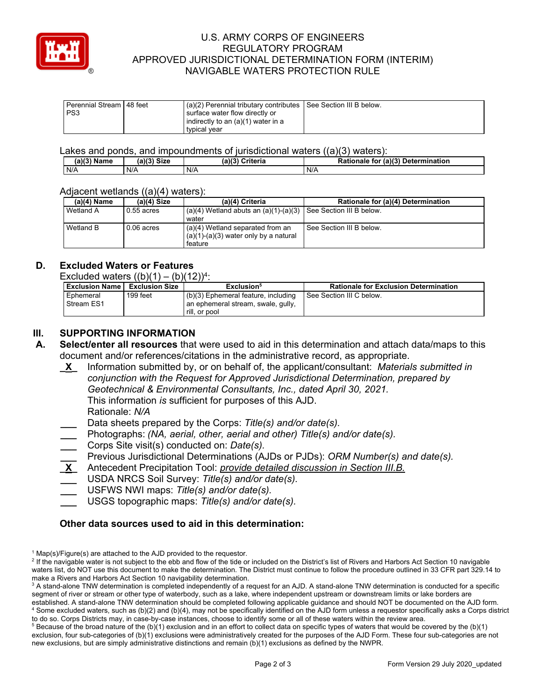

# U.S. ARMY CORPS OF ENGINEERS REGULATORY PROGRAM APPROVED JURISDICTIONAL DETERMINATION FORM (INTERIM) NAVIGABLE WATERS PROTECTION RULE

| Perennial Stream 48 feet | (a)(2) Perennial tributary contributes See Section III B below. |  |
|--------------------------|-----------------------------------------------------------------|--|
| PS <sub>3</sub>          | surface water flow directly or                                  |  |
|                          | indirectly to an (a)(1) water in a                              |  |
|                          | typical year                                                    |  |

Lakes and ponds, and impoundments of jurisdictional waters ((a)(3) waters):

| (a)(3) $^{\circ}$<br>Name | (a)/2<br><b>Size</b> | (a)(3)<br>Criteria | (a)(3)<br><b>Determination</b><br>Rationale<br>tor |
|---------------------------|----------------------|--------------------|----------------------------------------------------|
| N/A                       | N/A                  | N/A                | N/A                                                |

### Adjacent wetlands ((a)(4) waters):

| $(a)(4)$ Name | $(a)(4)$ Size | (a)(4) Criteria                                                                        | Rationale for (a)(4) Determination |
|---------------|---------------|----------------------------------------------------------------------------------------|------------------------------------|
| Wetland A     | $0.55$ acres  | $(a)(4)$ Wetland abuts an $(a)(1)-(a)(3)$<br>water                                     | See Section III B below.           |
| Wetland B     | $0.06$ acres  | (a)(4) Wetland separated from an<br>$(a)(1)-(a)(3)$ water only by a natural<br>feature | See Section III B below.           |

# **D. Excluded Waters or Features**

| <b>Exclusion Name</b>   | <b>Exclusion Size</b> | Exclusion <sup>5</sup>                                                                     | <b>Rationale for Exclusion Determination</b> |
|-------------------------|-----------------------|--------------------------------------------------------------------------------------------|----------------------------------------------|
| Ephemeral<br>Stream ES1 | 199 feet              | (b)(3) Ephemeral feature, including<br>an ephemeral stream, swale, gully,<br>rill, or pool | See Section III C below.                     |

# **III. SUPPORTING INFORMATION**

- **A. Select/enter all resources** that were used to aid in this determination and attach data/maps to this document and/or references/citations in the administrative record, as appropriate.
	- **\_X\_** Information submitted by, or on behalf of, the applicant/consultant: *Materials submitted in conjunction with the Request for Approved Jurisdictional Determination, prepared by Geotechnical & Environmental Consultants, Inc., dated April 30, 2021.*  This information *is* sufficient for purposes of this AJD.

Rationale: *N/A* 

- **\_\_\_** Data sheets prepared by the Corps: *Title(s) and/or date(s).*
- **\_\_\_** Photographs: *(NA, aerial, other, aerial and other) Title(s) and/or date(s).*
- **\_\_\_** Corps Site visit(s) conducted on: *Date(s).*
- **\_\_\_** Previous Jurisdictional Determinations (AJDs or PJDs): *ORM Number(s) and date(s).*
- **\_X\_** Antecedent Precipitation Tool: *provide detailed discussion in Section III.B.*
- **\_\_\_** USDA NRCS Soil Survey: *Title(s) and/or date(s).*
- **\_\_\_** USFWS NWI maps: *Title(s) and/or date(s).*
- **\_\_\_** USGS topographic maps: *Title(s) and/or date(s).*

### **Other data sources used to aid in this determination:**

 $^5$  Because of the broad nature of the (b)(1) exclusion and in an effort to collect data on specific types of waters that would be covered by the (b)(1) exclusion, four sub-categories of (b)(1) exclusions were administratively created for the purposes of the AJD Form. These four sub-categories are not new exclusions, but are simply administrative distinctions and remain (b)(1) exclusions as defined by the NWPR.

 $1$  Map(s)/Figure(s) are attached to the AJD provided to the requestor.

<sup>&</sup>lt;sup>2</sup> If the navigable water is not subject to the ebb and flow of the tide or included on the District's list of Rivers and Harbors Act Section 10 navigable waters list, do NOT use this document to make the determination. The District must continue to follow the procedure outlined in 33 CFR part 329.14 to make a Rivers and Harbors Act Section 10 navigability determination.

 $^3$  A stand-alone TNW determination is completed independently of a request for an AJD. A stand-alone TNW determination is conducted for a specific segment of river or stream or other type of waterbody, such as a lake, where independent upstream or downstream limits or lake borders are established. A stand-alone TNW determination should be completed following applicable guidance and should NOT be documented on the AJD form. 4 Some excluded waters, such as (b)(2) and (b)(4), may not be specifically identified on the AJD form unless a requestor specifically asks a Corps district to do so. Corps Districts may, in case-by-case instances, choose to identify some or all of these waters within the review area.